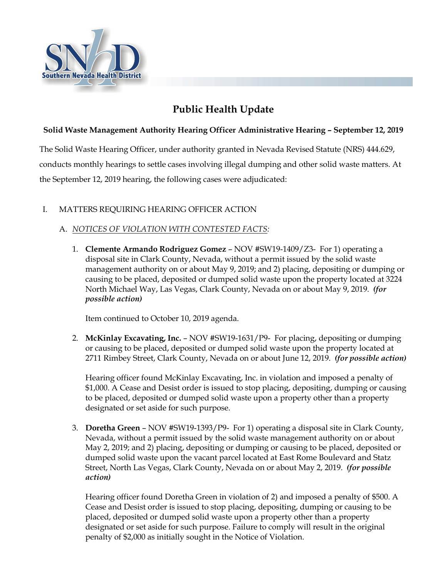

# **Public Health Update**

### **Solid Waste Management Authority Hearing Officer Administrative Hearing – September 12, 2019**

The Solid Waste Hearing Officer, under authority granted in Nevada Revised Statute (NRS) 444.629, conducts monthly hearings to settle cases involving illegal dumping and other solid waste matters. At the September 12, 2019 hearing, the following cases were adjudicated:

## I. MATTERS REQUIRING HEARING OFFICER ACTION

## A. *NOTICES OF VIOLATION WITH CONTESTED FACTS:*

1. **Clemente Armando Rodriguez Gomez** – NOV #SW19-1409/Z3- For 1) operating a disposal site in Clark County, Nevada, without a permit issued by the solid waste management authority on or about May 9, 2019; and 2) placing, depositing or dumping or causing to be placed, deposited or dumped solid waste upon the property located at 3224 North Michael Way, Las Vegas, Clark County, Nevada on or about May 9, 2019. *(for possible action)*

Item continued to October 10, 2019 agenda.

2. **McKinlay Excavating, Inc.** – NOV #SW19-1631/P9- For placing, depositing or dumping or causing to be placed, deposited or dumped solid waste upon the property located at 2711 Rimbey Street, Clark County, Nevada on or about June 12, 2019. *(for possible action)*

Hearing officer found McKinlay Excavating, Inc. in violation and imposed a penalty of \$1,000. A Cease and Desist order is issued to stop placing, depositing, dumping or causing to be placed, deposited or dumped solid waste upon a property other than a property designated or set aside for such purpose.

3. **Doretha Green** – NOV #SW19-1393/P9- For 1) operating a disposal site in Clark County, Nevada, without a permit issued by the solid waste management authority on or about May 2, 2019; and 2) placing, depositing or dumping or causing to be placed, deposited or dumped solid waste upon the vacant parcel located at East Rome Boulevard and Statz Street, North Las Vegas, Clark County, Nevada on or about May 2, 2019. *(for possible action)*

Hearing officer found Doretha Green in violation of 2) and imposed a penalty of \$500. A Cease and Desist order is issued to stop placing, depositing, dumping or causing to be placed, deposited or dumped solid waste upon a property other than a property designated or set aside for such purpose. Failure to comply will result in the original penalty of \$2,000 as initially sought in the Notice of Violation.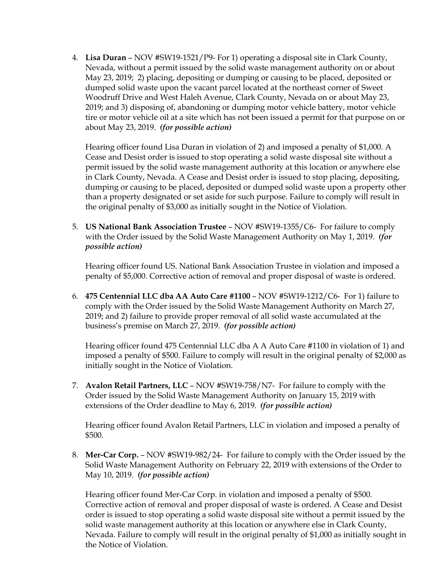4. **Lisa Duran** – NOV #SW19-1521/P9- For 1) operating a disposal site in Clark County, Nevada, without a permit issued by the solid waste management authority on or about May 23, 2019; 2) placing, depositing or dumping or causing to be placed, deposited or dumped solid waste upon the vacant parcel located at the northeast corner of Sweet Woodruff Drive and West Haleh Avenue, Clark County, Nevada on or about May 23, 2019; and 3) disposing of, abandoning or dumping motor vehicle battery, motor vehicle tire or motor vehicle oil at a site which has not been issued a permit for that purpose on or about May 23, 2019. *(for possible action)*

Hearing officer found Lisa Duran in violation of 2) and imposed a penalty of \$1,000. A Cease and Desist order is issued to stop operating a solid waste disposal site without a permit issued by the solid waste management authority at this location or anywhere else in Clark County, Nevada. A Cease and Desist order is issued to stop placing, depositing, dumping or causing to be placed, deposited or dumped solid waste upon a property other than a property designated or set aside for such purpose. Failure to comply will result in the original penalty of \$3,000 as initially sought in the Notice of Violation.

5. **US National Bank Association Trustee** – NOV #SW19-1355/C6- For failure to comply with the Order issued by the Solid Waste Management Authority on May 1, 2019. *(for possible action)*

Hearing officer found US. National Bank Association Trustee in violation and imposed a penalty of \$5,000. Corrective action of removal and proper disposal of waste is ordered.

6. **475 Centennial LLC dba AA Auto Care #1100** – NOV #SW19-1212/C6- For 1) failure to comply with the Order issued by the Solid Waste Management Authority on March 27, 2019; and 2) failure to provide proper removal of all solid waste accumulated at the business's premise on March 27, 2019. *(for possible action)*

Hearing officer found 475 Centennial LLC dba A A Auto Care #1100 in violation of 1) and imposed a penalty of \$500. Failure to comply will result in the original penalty of \$2,000 as initially sought in the Notice of Violation.

7. **Avalon Retail Partners, LLC** – NOV #SW19-758/N7- For failure to comply with the Order issued by the Solid Waste Management Authority on January 15, 2019 with extensions of the Order deadline to May 6, 2019. *(for possible action)*

Hearing officer found Avalon Retail Partners, LLC in violation and imposed a penalty of \$500.

8. **Mer-Car Corp.** – NOV #SW19-982/24- For failure to comply with the Order issued by the Solid Waste Management Authority on February 22, 2019 with extensions of the Order to May 10, 2019. *(for possible action)*

Hearing officer found Mer-Car Corp. in violation and imposed a penalty of \$500. Corrective action of removal and proper disposal of waste is ordered. A Cease and Desist order is issued to stop operating a solid waste disposal site without a permit issued by the solid waste management authority at this location or anywhere else in Clark County, Nevada. Failure to comply will result in the original penalty of \$1,000 as initially sought in the Notice of Violation.